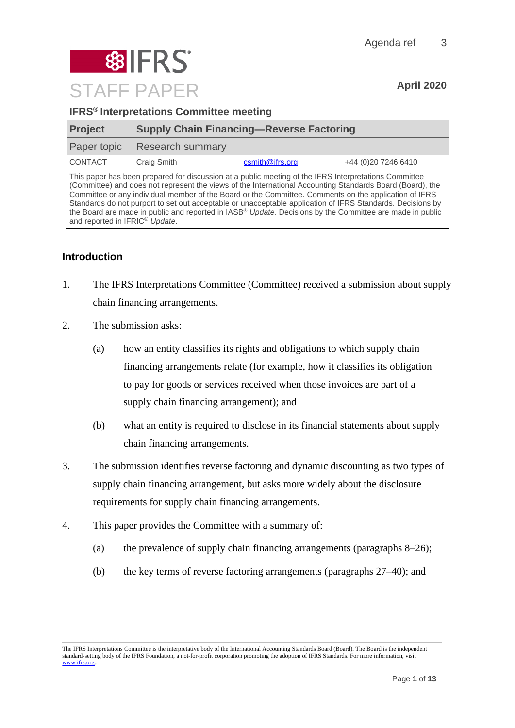

| <b>IFRS<sup>®</sup> Interpretations Committee meeting</b> |
|-----------------------------------------------------------|
|-----------------------------------------------------------|

| <b>Project</b> | <b>Supply Chain Financing—Reverse Factoring</b> |                 |                     |
|----------------|-------------------------------------------------|-----------------|---------------------|
|                | Paper topic Research summary                    |                 |                     |
| CONTACT        | Craig Smith                                     | csmith@ifrs.org | +44 (0)20 7246 6410 |

This paper has been prepared for discussion at a public meeting of the IFRS Interpretations Committee (Committee) and does not represent the views of the International Accounting Standards Board (Board), the Committee or any individual member of the Board or the Committee. Comments on the application of IFRS Standards do not purport to set out acceptable or unacceptable application of IFRS Standards. Decisions by the Board are made in public and reported in IASB® *Update*. Decisions by the Committee are made in public and reported in IFRIC® *Update*.

# **Introduction**

- 1. The IFRS Interpretations Committee (Committee) received a submission about supply chain financing arrangements.
- 2. The submission asks:
	- (a) how an entity classifies its rights and obligations to which supply chain financing arrangements relate (for example, how it classifies its obligation to pay for goods or services received when those invoices are part of a supply chain financing arrangement); and
	- (b) what an entity is required to disclose in its financial statements about supply chain financing arrangements.
- 3. The submission identifies reverse factoring and dynamic discounting as two types of supply chain financing arrangement, but asks more widely about the disclosure requirements for supply chain financing arrangements.
- 4. This paper provides the Committee with a summary of:
	- (a) the prevalence of supply chain financing arrangements (paragraphs [8](#page-1-0)[–26\)](#page-5-0);
	- (b) the key terms of reverse factoring arrangements (paragraphs [27–](#page-5-1)[40\)](#page-8-0); and

The IFRS Interpretations Committee is the interpretative body of the International Accounting Standards Board (Board). The Board is the independent standard-setting body of the IFRS Foundation, a not-for-profit corporation promoting the adoption of IFRS Standards. For more information, visit [www.ifrs.org..](http://www.ifrs.org/)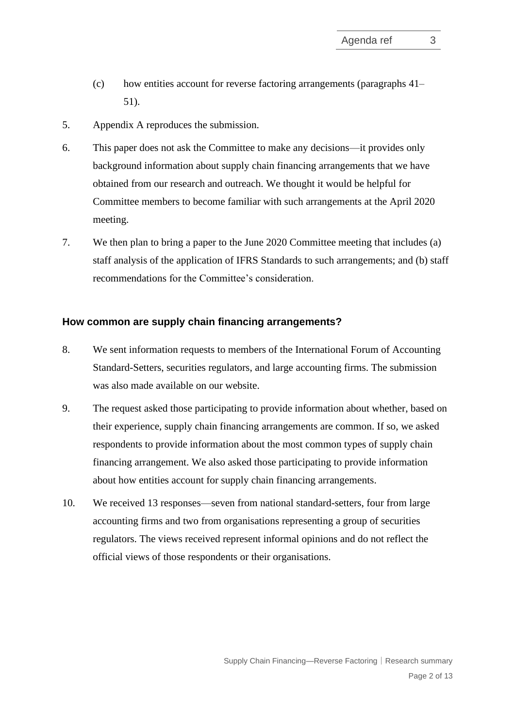- (c) how entities account for reverse factoring arrangements (paragraphs [41–](#page-8-1) [51\)](#page-11-0).
- 5. Appendix A reproduces the submission.
- 6. This paper does not ask the Committee to make any decisions—it provides only background information about supply chain financing arrangements that we have obtained from our research and outreach. We thought it would be helpful for Committee members to become familiar with such arrangements at the April 2020 meeting.
- 7. We then plan to bring a paper to the June 2020 Committee meeting that includes (a) staff analysis of the application of IFRS Standards to such arrangements; and (b) staff recommendations for the Committee's consideration.

#### **How common are supply chain financing arrangements?**

- <span id="page-1-0"></span>8. We sent information requests to members of the International Forum of Accounting Standard-Setters, securities regulators, and large accounting firms. The submission was also made available on our website.
- 9. The request asked those participating to provide information about whether, based on their experience, supply chain financing arrangements are common. If so, we asked respondents to provide information about the most common types of supply chain financing arrangement. We also asked those participating to provide information about how entities account for supply chain financing arrangements.
- 10. We received 13 responses—seven from national standard-setters, four from large accounting firms and two from organisations representing a group of securities regulators. The views received represent informal opinions and do not reflect the official views of those respondents or their organisations.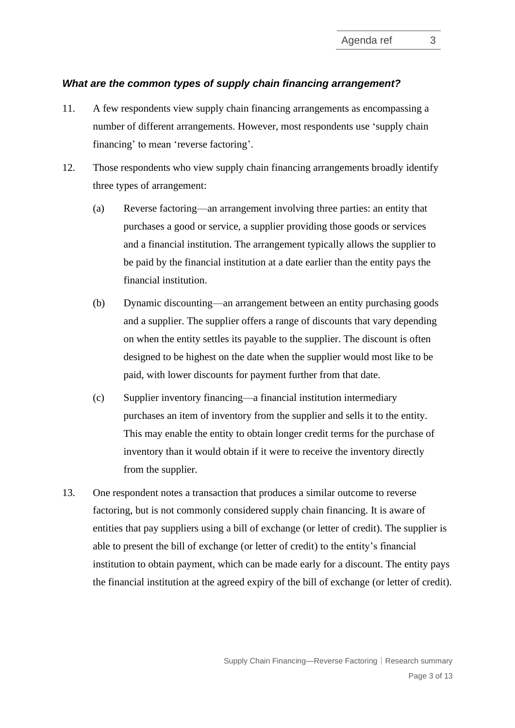#### *What are the common types of supply chain financing arrangement?*

- <span id="page-2-1"></span>11. A few respondents view supply chain financing arrangements as encompassing a number of different arrangements. However, most respondents use 'supply chain financing' to mean 'reverse factoring'.
- <span id="page-2-0"></span>12. Those respondents who view supply chain financing arrangements broadly identify three types of arrangement:
	- (a) Reverse factoring—an arrangement involving three parties: an entity that purchases a good or service, a supplier providing those goods or services and a financial institution. The arrangement typically allows the supplier to be paid by the financial institution at a date earlier than the entity pays the financial institution.
	- (b) Dynamic discounting—an arrangement between an entity purchasing goods and a supplier. The supplier offers a range of discounts that vary depending on when the entity settles its payable to the supplier. The discount is often designed to be highest on the date when the supplier would most like to be paid, with lower discounts for payment further from that date.
	- (c) Supplier inventory financing—a financial institution intermediary purchases an item of inventory from the supplier and sells it to the entity. This may enable the entity to obtain longer credit terms for the purchase of inventory than it would obtain if it were to receive the inventory directly from the supplier.
- 13. One respondent notes a transaction that produces a similar outcome to reverse factoring, but is not commonly considered supply chain financing. It is aware of entities that pay suppliers using a bill of exchange (or letter of credit). The supplier is able to present the bill of exchange (or letter of credit) to the entity's financial institution to obtain payment, which can be made early for a discount. The entity pays the financial institution at the agreed expiry of the bill of exchange (or letter of credit).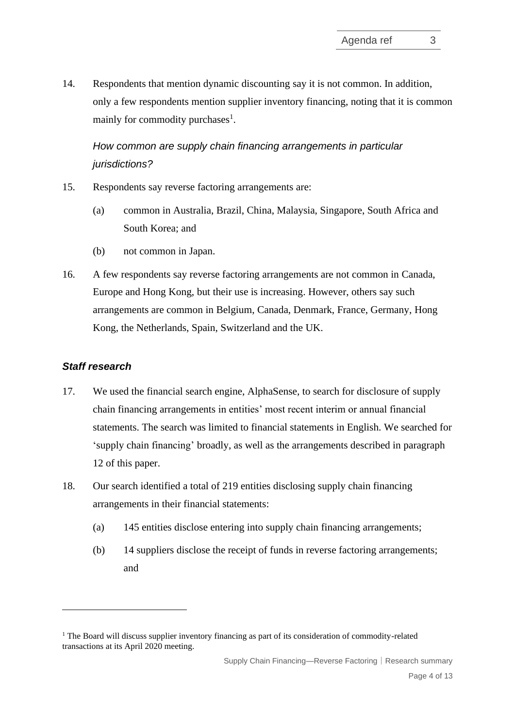14. Respondents that mention dynamic discounting say it is not common. In addition, only a few respondents mention supplier inventory financing, noting that it is common mainly for commodity purchases<sup>1</sup>.

*How common are supply chain financing arrangements in particular jurisdictions?*

- 15. Respondents say reverse factoring arrangements are:
	- (a) common in Australia, Brazil, China, Malaysia, Singapore, South Africa and South Korea; and
	- (b) not common in Japan.
- 16. A few respondents say reverse factoring arrangements are not common in Canada, Europe and Hong Kong, but their use is increasing. However, others say such arrangements are common in Belgium, Canada, Denmark, France, Germany, Hong Kong, the Netherlands, Spain, Switzerland and the UK.

#### *Staff research*

- 17. We used the financial search engine, AlphaSense, to search for disclosure of supply chain financing arrangements in entities' most recent interim or annual financial statements. The search was limited to financial statements in English. We searched for 'supply chain financing' broadly, as well as the arrangements described in paragraph [12](#page-2-0) of this paper.
- 18. Our search identified a total of 219 entities disclosing supply chain financing arrangements in their financial statements:
	- (a) 145 entities disclose entering into supply chain financing arrangements;
	- (b) 14 suppliers disclose the receipt of funds in reverse factoring arrangements; and

 $<sup>1</sup>$  The Board will discuss supplier inventory financing as part of its consideration of commodity-related</sup> transactions at its April 2020 meeting.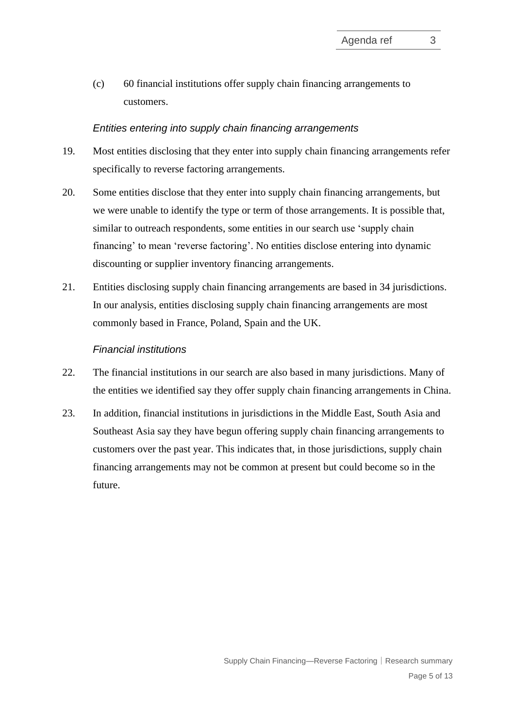(c) 60 financial institutions offer supply chain financing arrangements to customers.

#### *Entities entering into supply chain financing arrangements*

- 19. Most entities disclosing that they enter into supply chain financing arrangements refer specifically to reverse factoring arrangements.
- 20. Some entities disclose that they enter into supply chain financing arrangements, but we were unable to identify the type or term of those arrangements. It is possible that, similar to outreach respondents, some entities in our search use 'supply chain financing' to mean 'reverse factoring'. No entities disclose entering into dynamic discounting or supplier inventory financing arrangements.
- 21. Entities disclosing supply chain financing arrangements are based in 34 jurisdictions. In our analysis, entities disclosing supply chain financing arrangements are most commonly based in France, Poland, Spain and the UK.

#### *Financial institutions*

- 22. The financial institutions in our search are also based in many jurisdictions. Many of the entities we identified say they offer supply chain financing arrangements in China.
- 23. In addition, financial institutions in jurisdictions in the Middle East, South Asia and Southeast Asia say they have begun offering supply chain financing arrangements to customers over the past year. This indicates that, in those jurisdictions, supply chain financing arrangements may not be common at present but could become so in the future.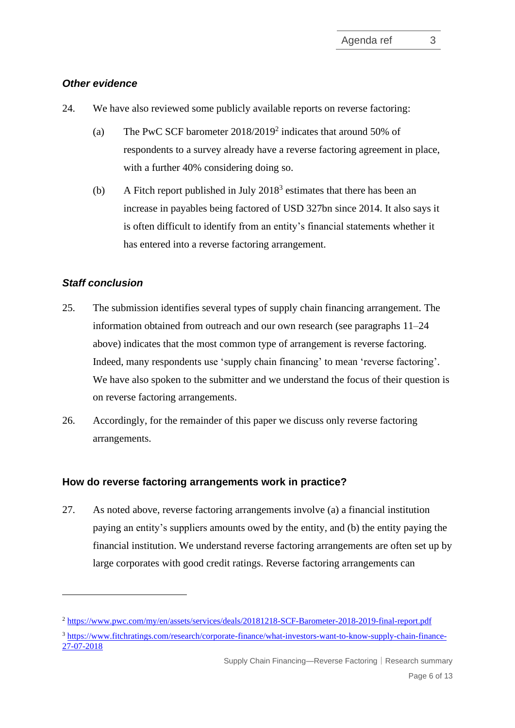# *Other evidence*

- <span id="page-5-2"></span>24. We have also reviewed some publicly available reports on reverse factoring:
	- (a) The PwC SCF barometer 2018/2019<sup>2</sup> indicates that around 50% of respondents to a survey already have a reverse factoring agreement in place, with a further 40% considering doing so.
	- (b) A Fitch report published in July  $2018<sup>3</sup>$  estimates that there has been an increase in payables being factored of USD 327bn since 2014. It also says it is often difficult to identify from an entity's financial statements whether it has entered into a reverse factoring arrangement.

# *Staff conclusion*

- 25. The submission identifies several types of supply chain financing arrangement. The information obtained from outreach and our own research (see paragraphs [11](#page-2-1)[–24](#page-5-2) above) indicates that the most common type of arrangement is reverse factoring. Indeed, many respondents use 'supply chain financing' to mean 'reverse factoring'. We have also spoken to the submitter and we understand the focus of their question is on reverse factoring arrangements.
- <span id="page-5-0"></span>26. Accordingly, for the remainder of this paper we discuss only reverse factoring arrangements.

# **How do reverse factoring arrangements work in practice?**

<span id="page-5-1"></span>27. As noted above, reverse factoring arrangements involve (a) a financial institution paying an entity's suppliers amounts owed by the entity, and (b) the entity paying the financial institution. We understand reverse factoring arrangements are often set up by large corporates with good credit ratings. Reverse factoring arrangements can

Supply Chain Financing—Reverse Factoring│Research summary

<sup>2</sup> <https://www.pwc.com/my/en/assets/services/deals/20181218-SCF-Barometer-2018-2019-final-report.pdf>

<sup>3</sup> [https://www.fitchratings.com/research/corporate-finance/what-investors-want-to-know-supply-chain-finance-](https://www.fitchratings.com/research/corporate-finance/what-investors-want-to-know-supply-chain-finance-27-07-2018)[27-07-2018](https://www.fitchratings.com/research/corporate-finance/what-investors-want-to-know-supply-chain-finance-27-07-2018)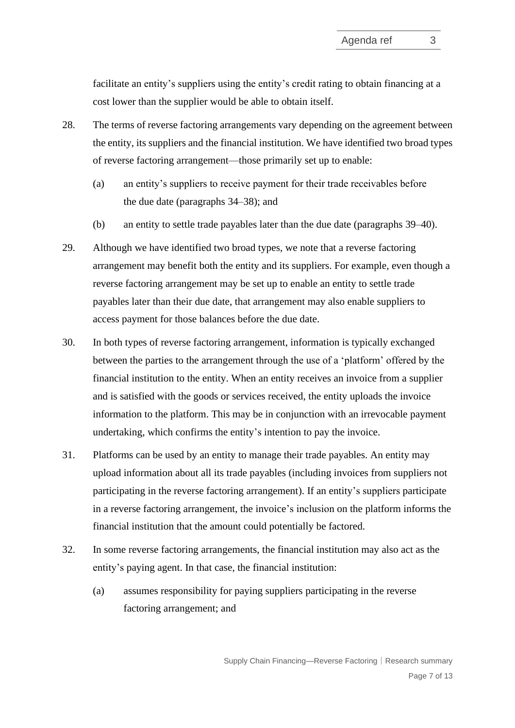facilitate an entity's suppliers using the entity's credit rating to obtain financing at a cost lower than the supplier would be able to obtain itself.

- 28. The terms of reverse factoring arrangements vary depending on the agreement between the entity, its suppliers and the financial institution. We have identified two broad types of reverse factoring arrangement—those primarily set up to enable:
	- (a) an entity's suppliers to receive payment for their trade receivables before the due date (paragraphs [34](#page-7-0)[–38\)](#page-8-2); and
	- (b) an entity to settle trade payables later than the due date (paragraphs [39–](#page-8-3)[40\)](#page-8-0).
- 29. Although we have identified two broad types, we note that a reverse factoring arrangement may benefit both the entity and its suppliers. For example, even though a reverse factoring arrangement may be set up to enable an entity to settle trade payables later than their due date, that arrangement may also enable suppliers to access payment for those balances before the due date.
- 30. In both types of reverse factoring arrangement, information is typically exchanged between the parties to the arrangement through the use of a 'platform' offered by the financial institution to the entity. When an entity receives an invoice from a supplier and is satisfied with the goods or services received, the entity uploads the invoice information to the platform. This may be in conjunction with an irrevocable payment undertaking, which confirms the entity's intention to pay the invoice.
- 31. Platforms can be used by an entity to manage their trade payables. An entity may upload information about all its trade payables (including invoices from suppliers not participating in the reverse factoring arrangement). If an entity's suppliers participate in a reverse factoring arrangement, the invoice's inclusion on the platform informs the financial institution that the amount could potentially be factored.
- 32. In some reverse factoring arrangements, the financial institution may also act as the entity's paying agent. In that case, the financial institution:
	- (a) assumes responsibility for paying suppliers participating in the reverse factoring arrangement; and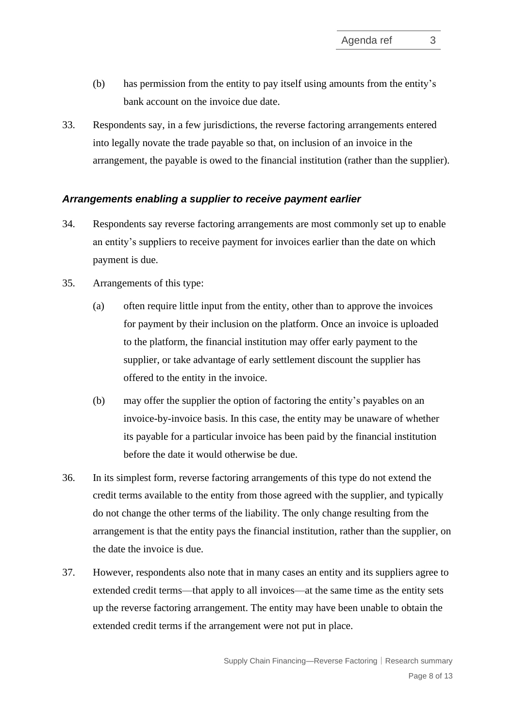- (b) has permission from the entity to pay itself using amounts from the entity's bank account on the invoice due date.
- 33. Respondents say, in a few jurisdictions, the reverse factoring arrangements entered into legally novate the trade payable so that, on inclusion of an invoice in the arrangement, the payable is owed to the financial institution (rather than the supplier).

#### *Arrangements enabling a supplier to receive payment earlier*

- <span id="page-7-0"></span>34. Respondents say reverse factoring arrangements are most commonly set up to enable an entity's suppliers to receive payment for invoices earlier than the date on which payment is due.
- 35. Arrangements of this type:
	- (a) often require little input from the entity, other than to approve the invoices for payment by their inclusion on the platform. Once an invoice is uploaded to the platform, the financial institution may offer early payment to the supplier, or take advantage of early settlement discount the supplier has offered to the entity in the invoice.
	- (b) may offer the supplier the option of factoring the entity's payables on an invoice-by-invoice basis. In this case, the entity may be unaware of whether its payable for a particular invoice has been paid by the financial institution before the date it would otherwise be due.
- <span id="page-7-1"></span>36. In its simplest form, reverse factoring arrangements of this type do not extend the credit terms available to the entity from those agreed with the supplier, and typically do not change the other terms of the liability. The only change resulting from the arrangement is that the entity pays the financial institution, rather than the supplier, on the date the invoice is due.
- 37. However, respondents also note that in many cases an entity and its suppliers agree to extended credit terms—that apply to all invoices—at the same time as the entity sets up the reverse factoring arrangement. The entity may have been unable to obtain the extended credit terms if the arrangement were not put in place.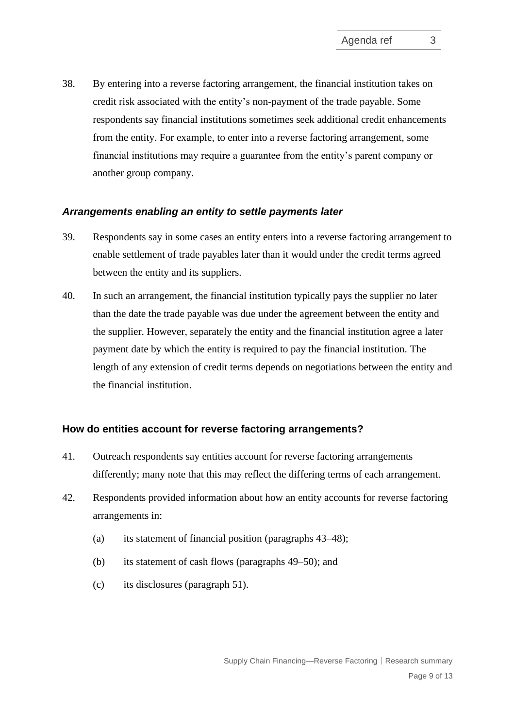<span id="page-8-2"></span>38. By entering into a reverse factoring arrangement, the financial institution takes on credit risk associated with the entity's non-payment of the trade payable. Some respondents say financial institutions sometimes seek additional credit enhancements from the entity. For example, to enter into a reverse factoring arrangement, some financial institutions may require a guarantee from the entity's parent company or another group company.

#### *Arrangements enabling an entity to settle payments later*

- <span id="page-8-3"></span>39. Respondents say in some cases an entity enters into a reverse factoring arrangement to enable settlement of trade payables later than it would under the credit terms agreed between the entity and its suppliers.
- 40. In such an arrangement, the financial institution typically pays the supplier no later than the date the trade payable was due under the agreement between the entity and the supplier. However, separately the entity and the financial institution agree a later payment date by which the entity is required to pay the financial institution. The length of any extension of credit terms depends on negotiations between the entity and the financial institution.

#### <span id="page-8-0"></span>**How do entities account for reverse factoring arrangements?**

- <span id="page-8-1"></span>41. Outreach respondents say entities account for reverse factoring arrangements differently; many note that this may reflect the differing terms of each arrangement.
- 42. Respondents provided information about how an entity accounts for reverse factoring arrangements in:
	- (a) its statement of financial position (paragraphs [43–](#page-9-0)[48\)](#page-10-0);
	- (b) its statement of cash flows (paragraphs [49–](#page-10-1)[50\)](#page-10-2); and
	- (c) its disclosures (paragraph [51\)](#page-11-1).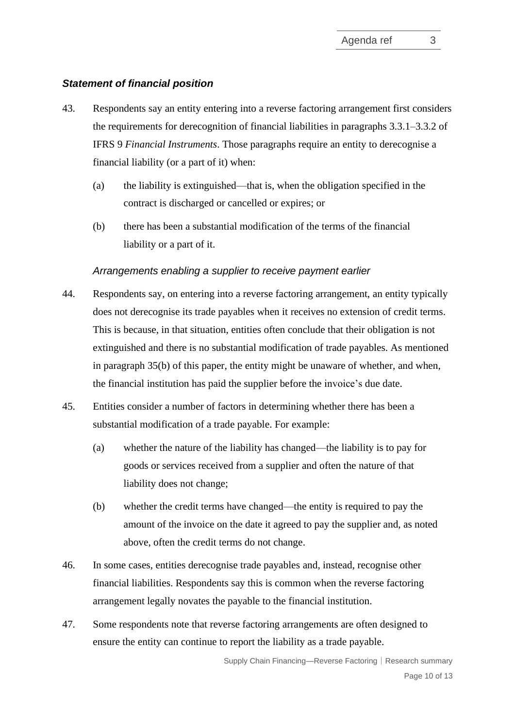#### *Statement of financial position*

- <span id="page-9-0"></span>43. Respondents say an entity entering into a reverse factoring arrangement first considers the requirements for derecognition of financial liabilities in paragraphs 3.3.1–3.3.2 of IFRS 9 *Financial Instruments*. Those paragraphs require an entity to derecognise a financial liability (or a part of it) when:
	- (a) the liability is extinguished—that is, when the obligation specified in the contract is discharged or cancelled or expires; or
	- (b) there has been a substantial modification of the terms of the financial liability or a part of it.

#### *Arrangements enabling a supplier to receive payment earlier*

- 44. Respondents say, on entering into a reverse factoring arrangement, an entity typically does not derecognise its trade payables when it receives no extension of credit terms. This is because, in that situation, entities often conclude that their obligation is not extinguished and there is no substantial modification of trade payables. As mentioned in paragraph [35\(b\)](#page-7-1) of this paper, the entity might be unaware of whether, and when, the financial institution has paid the supplier before the invoice's due date.
- 45. Entities consider a number of factors in determining whether there has been a substantial modification of a trade payable. For example:
	- (a) whether the nature of the liability has changed—the liability is to pay for goods or services received from a supplier and often the nature of that liability does not change;
	- (b) whether the credit terms have changed—the entity is required to pay the amount of the invoice on the date it agreed to pay the supplier and, as noted above, often the credit terms do not change.
- 46. In some cases, entities derecognise trade payables and, instead, recognise other financial liabilities. Respondents say this is common when the reverse factoring arrangement legally novates the payable to the financial institution.
- 47. Some respondents note that reverse factoring arrangements are often designed to ensure the entity can continue to report the liability as a trade payable.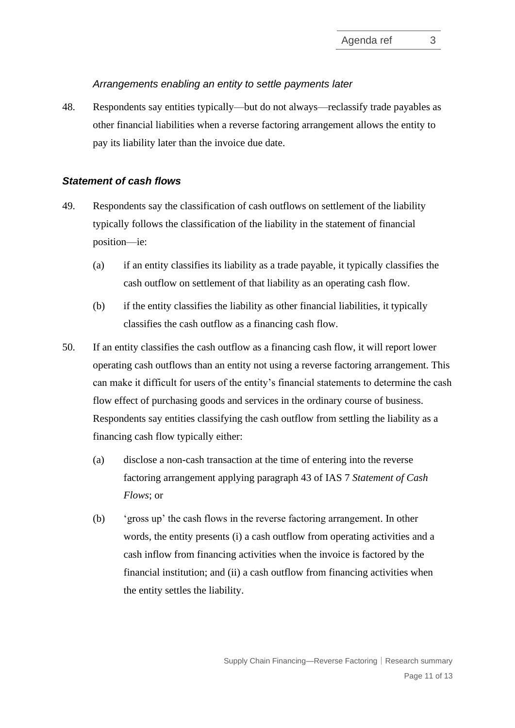#### *Arrangements enabling an entity to settle payments later*

<span id="page-10-0"></span>48. Respondents say entities typically—but do not always—reclassify trade payables as other financial liabilities when a reverse factoring arrangement allows the entity to pay its liability later than the invoice due date.

#### *Statement of cash flows*

- <span id="page-10-1"></span>49. Respondents say the classification of cash outflows on settlement of the liability typically follows the classification of the liability in the statement of financial position—ie:
	- (a) if an entity classifies its liability as a trade payable, it typically classifies the cash outflow on settlement of that liability as an operating cash flow.
	- (b) if the entity classifies the liability as other financial liabilities, it typically classifies the cash outflow as a financing cash flow.
- <span id="page-10-2"></span>50. If an entity classifies the cash outflow as a financing cash flow, it will report lower operating cash outflows than an entity not using a reverse factoring arrangement. This can make it difficult for users of the entity's financial statements to determine the cash flow effect of purchasing goods and services in the ordinary course of business. Respondents say entities classifying the cash outflow from settling the liability as a financing cash flow typically either:
	- (a) disclose a non-cash transaction at the time of entering into the reverse factoring arrangement applying paragraph 43 of IAS 7 *Statement of Cash Flows*; or
	- (b) 'gross up' the cash flows in the reverse factoring arrangement. In other words, the entity presents (i) a cash outflow from operating activities and a cash inflow from financing activities when the invoice is factored by the financial institution; and (ii) a cash outflow from financing activities when the entity settles the liability.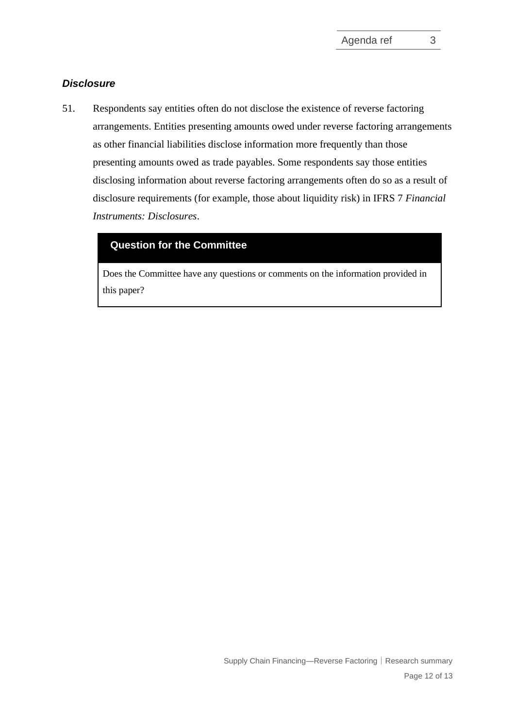# *Disclosure*

<span id="page-11-1"></span>51. Respondents say entities often do not disclose the existence of reverse factoring arrangements. Entities presenting amounts owed under reverse factoring arrangements as other financial liabilities disclose information more frequently than those presenting amounts owed as trade payables. Some respondents say those entities disclosing information about reverse factoring arrangements often do so as a result of disclosure requirements (for example, those about liquidity risk) in IFRS 7 *Financial Instruments: Disclosures*.

# <span id="page-11-0"></span>**Question for the Committee**

Does the Committee have any questions or comments on the information provided in this paper?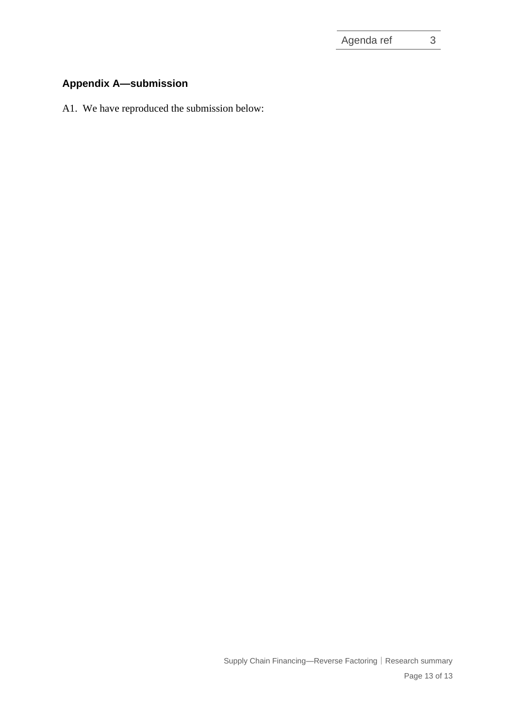# **Appendix A—submission**

A1. We have reproduced the submission below: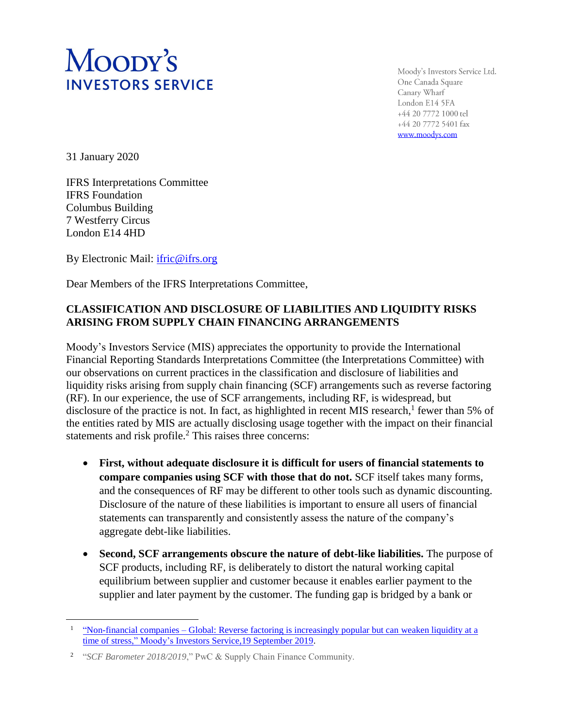# Moopy's **INVESTORS SERVICE**

Moody's Investors Service Ltd. One Canada Square Canary Wharf London E14 5FA +44 20 7772 1000 tel +44 20 7772 5401 fax www.moodys.com

31 January 2020

 $\overline{a}$ 

IFRS Interpretations Committee IFRS Foundation Columbus Building 7 Westferry Circus London E14 4HD

By Electronic Mail: [ifric@ifrs.org](../AppData/Local/Microsoft/Windows/INetCache/Content.Outlook/FD06XDWZ/ifric@ifrs.org)

Dear Members of the IFRS Interpretations Committee,

# **CLASSIFICATION AND DISCLOSURE OF LIABILITIES AND LIQUIDITY RISKS ARISING FROM SUPPLY CHAIN FINANCING ARRANGEMENTS**

Moody's Investors Service (MIS) appreciates the opportunity to provide the International Financial Reporting Standards Interpretations Committee (the Interpretations Committee) with our observations on current practices in the classification and disclosure of liabilities and liquidity risks arising from supply chain financing (SCF) arrangements such as reverse factoring (RF). In our experience, the use of SCF arrangements, including RF, is widespread, but disclosure of the practice is not. In fact, as highlighted in recent MIS research,<sup>1</sup> fewer than 5% of the entities rated by MIS are actually disclosing usage together with the impact on their financial statements and risk profile.<sup>2</sup> This raises three concerns:

- **First, without adequate disclosure it is difficult for users of financial statements to compare companies using SCF with those that do not.** SCF itself takes many forms, and the consequences of RF may be different to other tools such as dynamic discounting. Disclosure of the nature of these liabilities is important to ensure all users of financial statements can transparently and consistently assess the nature of the company's aggregate debt-like liabilities.
- **Second, SCF arrangements obscure the nature of debt-like liabilities.** The purpose of SCF products, including RF, is deliberately to distort the natural working capital equilibrium between supplier and customer because it enables earlier payment to the supplier and later payment by the customer. The funding gap is bridged by a bank or

<sup>&</sup>lt;sup>1</sup> "Non-financial companies – [Global: Reverse factoring is increasingly popular but can](https://www.moodys.com/researchdocumentcontentpage.aspx?docid=PBC_1188492) weaken liquidity at a [time of stress," Moody's Investors Service,19 September 2019.](https://www.moodys.com/researchdocumentcontentpage.aspx?docid=PBC_1188492)

<sup>&</sup>lt;sup>2</sup> "SCF Barometer 2018/2019," PwC & Supply Chain Finance Community.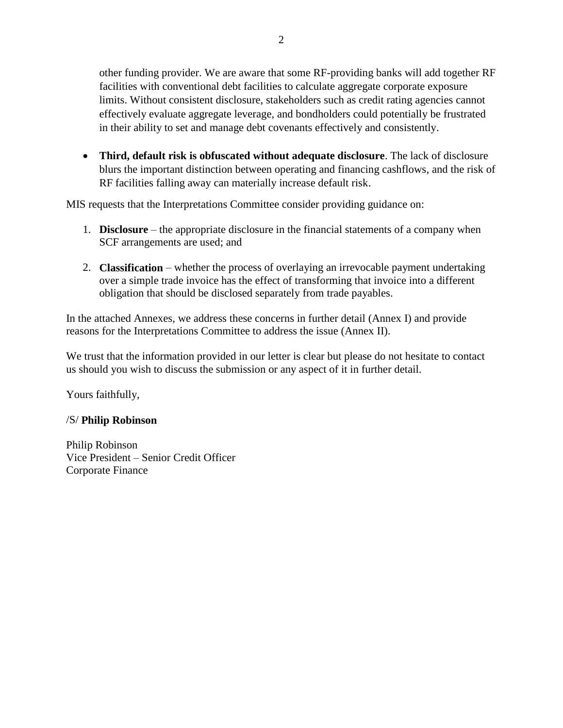other funding provider. We are aware that some RF-providing banks will add together RF facilities with conventional debt facilities to calculate aggregate corporate exposure limits. Without consistent disclosure, stakeholders such as credit rating agencies cannot effectively evaluate aggregate leverage, and bondholders could potentially be frustrated in their ability to set and manage debt covenants effectively and consistently.

• **Third, default risk is obfuscated without adequate disclosure**. The lack of disclosure blurs the important distinction between operating and financing cashflows, and the risk of RF facilities falling away can materially increase default risk.

MIS requests that the Interpretations Committee consider providing guidance on:

- 1. **Disclosure** the appropriate disclosure in the financial statements of a company when SCF arrangements are used; and
- 2. **Classification** whether the process of overlaying an irrevocable payment undertaking over a simple trade invoice has the effect of transforming that invoice into a different obligation that should be disclosed separately from trade payables.

In the attached Annexes, we address these concerns in further detail (Annex I) and provide reasons for the Interpretations Committee to address the issue (Annex II).

We trust that the information provided in our letter is clear but please do not hesitate to contact us should you wish to discuss the submission or any aspect of it in further detail.

Yours faithfully,

# /S/ **Philip Robinson**

Philip Robinson Vice President – Senior Credit Officer Corporate Finance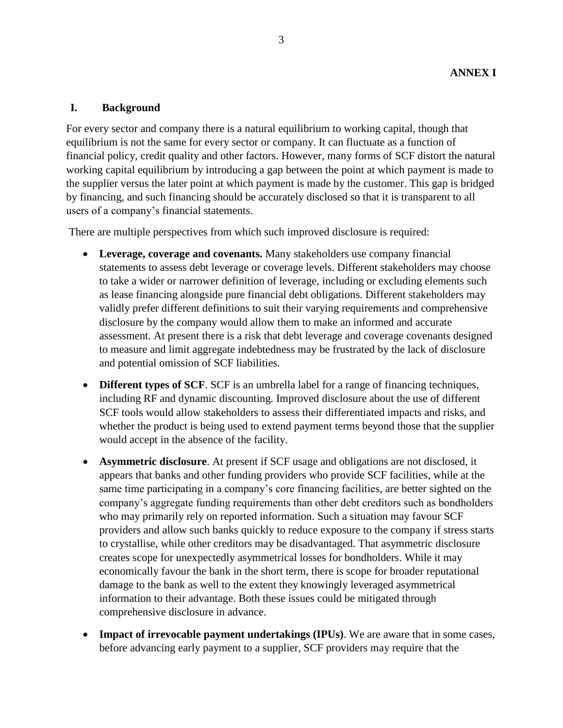#### **I. Background**

For every sector and company there is a natural equilibrium to working capital, though that equilibrium is not the same for every sector or company. It can fluctuate as a function of financial policy, credit quality and other factors. However, many forms of SCF distort the natural working capital equilibrium by introducing a gap between the point at which payment is made to the supplier versus the later point at which payment is made by the customer. This gap is bridged by financing, and such financing should be accurately disclosed so that it is transparent to all users of a company's financial statements.

There are multiple perspectives from which such improved disclosure is required:

- **Leverage, coverage and covenants.** Many stakeholders use company financial statements to assess debt leverage or coverage levels. Different stakeholders may choose to take a wider or narrower definition of leverage, including or excluding elements such as lease financing alongside pure financial debt obligations. Different stakeholders may validly prefer different definitions to suit their varying requirements and comprehensive disclosure by the company would allow them to make an informed and accurate assessment. At present there is a risk that debt leverage and coverage covenants designed to measure and limit aggregate indebtedness may be frustrated by the lack of disclosure and potential omission of SCF liabilities.
- **Different types of SCF**. SCF is an umbrella label for a range of financing techniques, including RF and dynamic discounting. Improved disclosure about the use of different SCF tools would allow stakeholders to assess their differentiated impacts and risks, and whether the product is being used to extend payment terms beyond those that the supplier would accept in the absence of the facility.
- **Asymmetric disclosure**. At present if SCF usage and obligations are not disclosed, it appears that banks and other funding providers who provide SCF facilities, while at the same time participating in a company's core financing facilities, are better sighted on the company's aggregate funding requirements than other debt creditors such as bondholders who may primarily rely on reported information. Such a situation may favour SCF providers and allow such banks quickly to reduce exposure to the company if stress starts to crystallise, while other creditors may be disadvantaged. That asymmetric disclosure creates scope for unexpectedly asymmetrical losses for bondholders. While it may economically favour the bank in the short term, there is scope for broader reputational damage to the bank as well to the extent they knowingly leveraged asymmetrical information to their advantage. Both these issues could be mitigated through comprehensive disclosure in advance.
- **Impact of irrevocable payment undertakings (IPUs)**. We are aware that in some cases, before advancing early payment to a supplier, SCF providers may require that the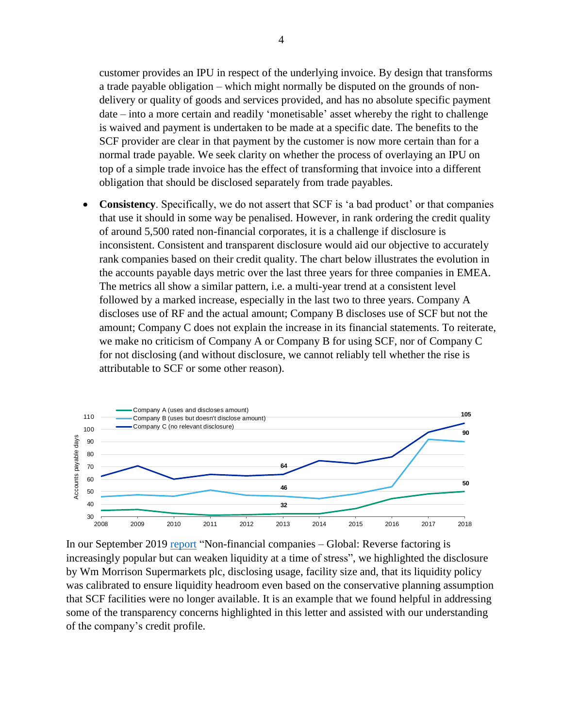customer provides an IPU in respect of the underlying invoice. By design that transforms a trade payable obligation – which might normally be disputed on the grounds of nondelivery or quality of goods and services provided, and has no absolute specific payment date – into a more certain and readily 'monetisable' asset whereby the right to challenge is waived and payment is undertaken to be made at a specific date. The benefits to the SCF provider are clear in that payment by the customer is now more certain than for a normal trade payable. We seek clarity on whether the process of overlaying an IPU on top of a simple trade invoice has the effect of transforming that invoice into a different obligation that should be disclosed separately from trade payables.

• **Consistency**. Specifically, we do not assert that SCF is 'a bad product' or that companies that use it should in some way be penalised. However, in rank ordering the credit quality of around 5,500 rated non-financial corporates, it is a challenge if disclosure is inconsistent. Consistent and transparent disclosure would aid our objective to accurately rank companies based on their credit quality. The chart below illustrates the evolution in the accounts payable days metric over the last three years for three companies in EMEA. The metrics all show a similar pattern, i.e. a multi-year trend at a consistent level followed by a marked increase, especially in the last two to three years. Company A discloses use of RF and the actual amount; Company B discloses use of SCF but not the amount; Company C does not explain the increase in its financial statements. To reiterate, we make no criticism of Company A or Company B for using SCF, nor of Company C for not disclosing (and without disclosure, we cannot reliably tell whether the rise is attributable to SCF or some other reason).



In our September 2019 [report](https://www.moodys.com/research/Non-financial-companies-Global-Reverse-factoring-is-increasingly-popular-but--PBC_1188492?lang=en&cy=can) "Non-financial companies – Global: Reverse factoring is increasingly popular but can weaken liquidity at a time of stress", we highlighted the disclosure by Wm Morrison Supermarkets plc, disclosing usage, facility size and, that its liquidity policy was calibrated to ensure liquidity headroom even based on the conservative planning assumption that SCF facilities were no longer available. It is an example that we found helpful in addressing some of the transparency concerns highlighted in this letter and assisted with our understanding of the company's credit profile.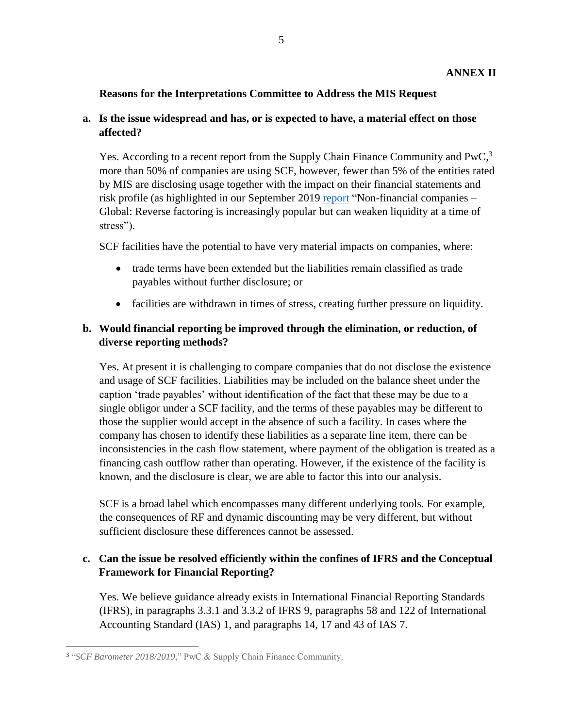# **Reasons for the Interpretations Committee to Address the MIS Request**

# **a. Is the issue widespread and has, or is expected to have, a material effect on those affected?**

Yes. According to a recent report from the Supply Chain Finance Community and PwC,<sup>3</sup> more than 50% of companies are using SCF, however, fewer than 5% of the entities rated by MIS are disclosing usage together with the impact on their financial statements and risk profile (as highlighted in our September 2019 [report](https://www.moodys.com/research/Non-financial-companies-Global-Reverse-factoring-is-increasingly-popular-but--PBC_1188492?lang=en&cy=can) "Non-financial companies – Global: Reverse factoring is increasingly popular but can weaken liquidity at a time of stress").

SCF facilities have the potential to have very material impacts on companies, where:

- trade terms have been extended but the liabilities remain classified as trade payables without further disclosure; or
- facilities are withdrawn in times of stress, creating further pressure on liquidity.

# **b. Would financial reporting be improved through the elimination, or reduction, of diverse reporting methods?**

Yes. At present it is challenging to compare companies that do not disclose the existence and usage of SCF facilities. Liabilities may be included on the balance sheet under the caption 'trade payables' without identification of the fact that these may be due to a single obligor under a SCF facility, and the terms of these payables may be different to those the supplier would accept in the absence of such a facility. In cases where the company has chosen to identify these liabilities as a separate line item, there can be inconsistencies in the cash flow statement, where payment of the obligation is treated as a financing cash outflow rather than operating. However, if the existence of the facility is known, and the disclosure is clear, we are able to factor this into our analysis.

SCF is a broad label which encompasses many different underlying tools. For example, the consequences of RF and dynamic discounting may be very different, but without sufficient disclosure these differences cannot be assessed.

# **c. Can the issue be resolved efficiently within the confines of IFRS and the Conceptual Framework for Financial Reporting?**

Yes. We believe guidance already exists in International Financial Reporting Standards (IFRS), in paragraphs 3.3.1 and 3.3.2 of IFRS 9, paragraphs 58 and 122 of International Accounting Standard (IAS) 1, and paragraphs 14, 17 and 43 of IAS 7.

 $\overline{a}$ <sup>3</sup> "SCF Barometer 2018/2019," PwC & Supply Chain Finance Community.